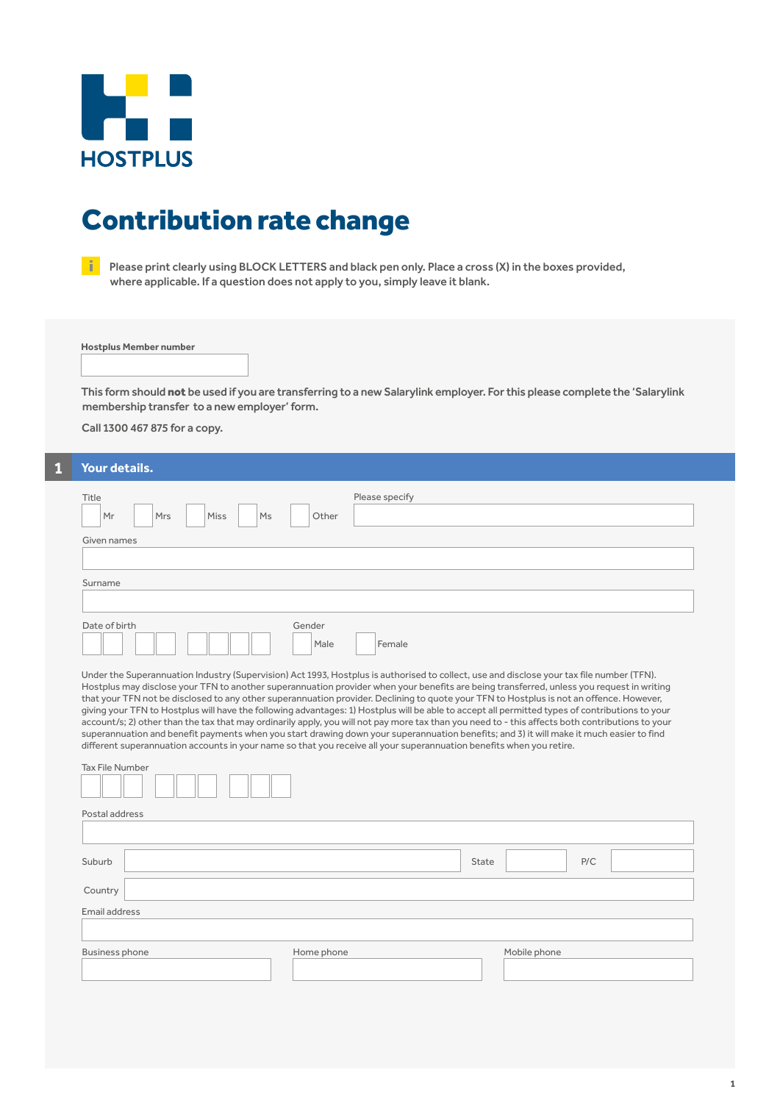

# Contribution rate change

Please print clearly using BLOCK LETTERS and black pen only. Place a cross (X) in the boxes provided, where applicable. If a question does not apply to you, simply leave it blank.

**Hostplus Member number**

This form should not be used if you are transferring to a new Salarylink employer. For this please complete the 'Salarylink membership transfer to a new employer' form.

Call 1300 467 875 for a copy.

## **1 Your details.**

| Title<br>Mr<br><b>Mrs</b><br>Miss<br>Ms<br>Given names                                                                                                                                                                                                                                                                                                                                                                                                                                                                                                                                                                                                                                                                                                                                                                                                                                                                                                                                                        | Please specify<br>Other  |                     |  |  |  |
|---------------------------------------------------------------------------------------------------------------------------------------------------------------------------------------------------------------------------------------------------------------------------------------------------------------------------------------------------------------------------------------------------------------------------------------------------------------------------------------------------------------------------------------------------------------------------------------------------------------------------------------------------------------------------------------------------------------------------------------------------------------------------------------------------------------------------------------------------------------------------------------------------------------------------------------------------------------------------------------------------------------|--------------------------|---------------------|--|--|--|
| Surname                                                                                                                                                                                                                                                                                                                                                                                                                                                                                                                                                                                                                                                                                                                                                                                                                                                                                                                                                                                                       |                          |                     |  |  |  |
|                                                                                                                                                                                                                                                                                                                                                                                                                                                                                                                                                                                                                                                                                                                                                                                                                                                                                                                                                                                                               |                          |                     |  |  |  |
| Date of birth                                                                                                                                                                                                                                                                                                                                                                                                                                                                                                                                                                                                                                                                                                                                                                                                                                                                                                                                                                                                 | Gender<br>Female<br>Male |                     |  |  |  |
| Under the Superannuation Industry (Supervision) Act 1993, Hostplus is authorised to collect, use and disclose your tax file number (TFN).<br>Hostplus may disclose your TFN to another superannuation provider when your benefits are being transferred, unless you request in writing<br>that your TFN not be disclosed to any other superannuation provider. Declining to quote your TFN to Hostplus is not an offence. However,<br>giving your TFN to Hostplus will have the following advantages: 1) Hostplus will be able to accept all permitted types of contributions to your<br>account/s; 2) other than the tax that may ordinarily apply, you will not pay more tax than you need to - this affects both contributions to your<br>superannuation and benefit payments when you start drawing down your superannuation benefits; and 3) it will make it much easier to find<br>different superannuation accounts in your name so that you receive all your superannuation benefits when you retire. |                          |                     |  |  |  |
| <b>Tax File Number</b>                                                                                                                                                                                                                                                                                                                                                                                                                                                                                                                                                                                                                                                                                                                                                                                                                                                                                                                                                                                        |                          |                     |  |  |  |
| Postal address                                                                                                                                                                                                                                                                                                                                                                                                                                                                                                                                                                                                                                                                                                                                                                                                                                                                                                                                                                                                |                          |                     |  |  |  |
|                                                                                                                                                                                                                                                                                                                                                                                                                                                                                                                                                                                                                                                                                                                                                                                                                                                                                                                                                                                                               |                          |                     |  |  |  |
| Suburb                                                                                                                                                                                                                                                                                                                                                                                                                                                                                                                                                                                                                                                                                                                                                                                                                                                                                                                                                                                                        |                          | P/C<br><b>State</b> |  |  |  |
| Country                                                                                                                                                                                                                                                                                                                                                                                                                                                                                                                                                                                                                                                                                                                                                                                                                                                                                                                                                                                                       |                          |                     |  |  |  |
| Email address                                                                                                                                                                                                                                                                                                                                                                                                                                                                                                                                                                                                                                                                                                                                                                                                                                                                                                                                                                                                 |                          |                     |  |  |  |
|                                                                                                                                                                                                                                                                                                                                                                                                                                                                                                                                                                                                                                                                                                                                                                                                                                                                                                                                                                                                               |                          |                     |  |  |  |
| <b>Business phone</b>                                                                                                                                                                                                                                                                                                                                                                                                                                                                                                                                                                                                                                                                                                                                                                                                                                                                                                                                                                                         | Home phone               | Mobile phone        |  |  |  |
|                                                                                                                                                                                                                                                                                                                                                                                                                                                                                                                                                                                                                                                                                                                                                                                                                                                                                                                                                                                                               |                          |                     |  |  |  |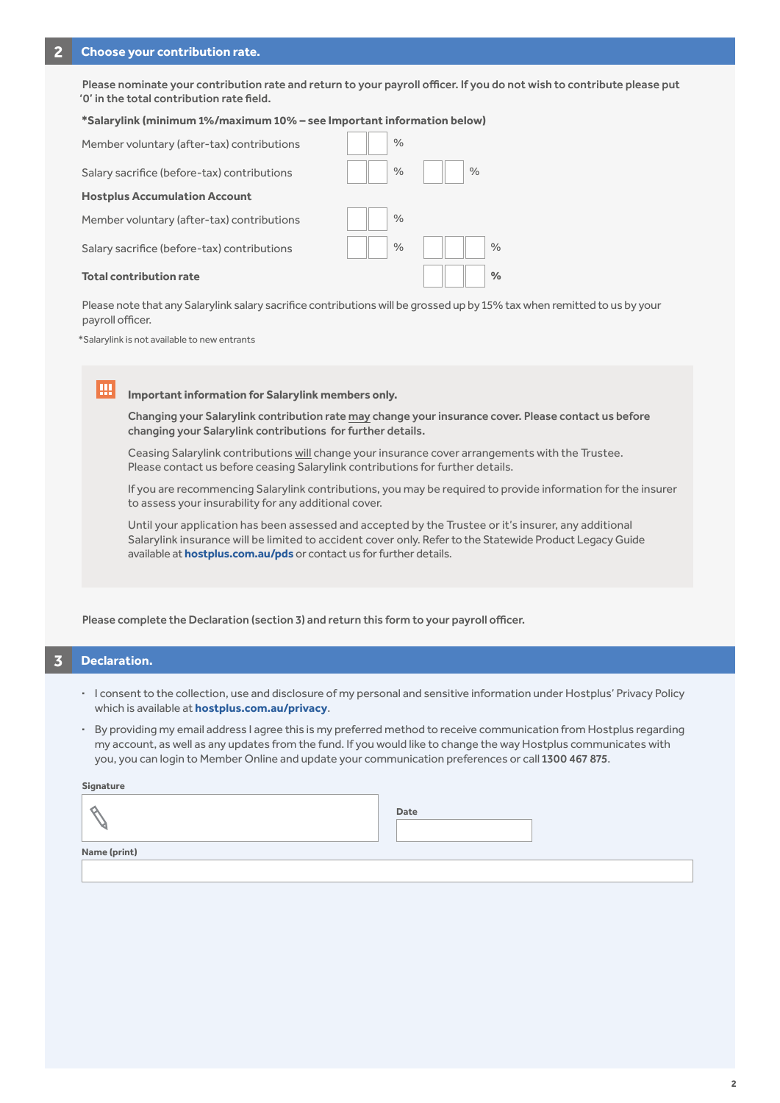Please nominate your contribution rate and return to your payroll officer. If you do not wish to contribute please put '0' in the total contribution rate field.

#### **\*Salarylink (minimum 1%/maximum 10% – see Important information below)**

| Member voluntary (after-tax) contributions  | $\%$          |               |               |
|---------------------------------------------|---------------|---------------|---------------|
| Salary sacrifice (before-tax) contributions | $\frac{0}{0}$ | $\frac{0}{0}$ |               |
| <b>Hostplus Accumulation Account</b>        |               |               |               |
| Member voluntary (after-tax) contributions  | $\frac{0}{0}$ |               |               |
| Salary sacrifice (before-tax) contributions | $\%$          |               | $\frac{0}{0}$ |
| <b>Total contribution rate</b>              |               |               | $\frac{0}{0}$ |

Please note that any Salarylink salary sacrifice contributions will be grossed up by 15% tax when remitted to us by your payroll officer.

\*Salarylink is not available to new entrants

**Important information for Salarylink members only.**

 Changing your Salarylink contribution rate may change your insurance cover. Please contact us before changing your Salarylink contributions for further details.

Ceasing Salarylink contributions will change your insurance cover arrangements with the Trustee. Please contact us before ceasing Salarylink contributions for further details.

If you are recommencing Salarylink contributions, you may be required to provide information for the insurer to assess your insurability for any additional cover.

Until your application has been assessed and accepted by the Trustee or it's insurer, any additional Salarylink insurance will be limited to accident cover only. Refer to the Statewide Product Legacy Guide available at **hostplus.com.au/pds** or contact us for further details.

Please complete the Declaration (section 3) and return this form to your payroll officer.

### **3 Declaration.**

Iш

- **·** I consent to the collection, use and disclosure of my personal and sensitive information under Hostplus' Privacy Policy which is available at **hostplus.com.au/privacy**.
- **·** By providing my email address I agree this is my preferred method to receive communication from Hostplus regarding my account, as well as any updates from the fund. If you would like to change the way Hostplus communicates with you, you can login to Member Online and update your communication preferences or call 1300 467 875.

#### **Signature**

| ີ            | Date |
|--------------|------|
|              |      |
| Name (print) |      |